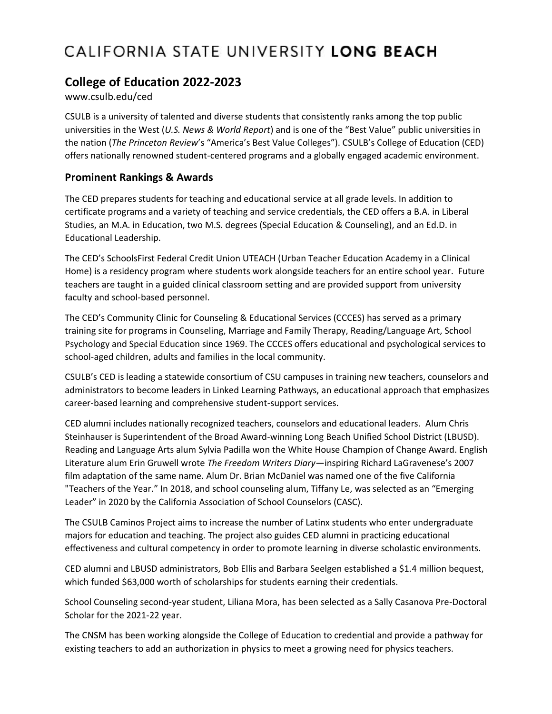## CALIFORNIA STATE UNIVERSITY LONG BEACH

## **College of Education 2022-2023**

## www.csulb.edu/ced

CSULB is a university of talented and diverse students that consistently ranks among the top public universities in the West (*U.S. News & World Report*) and is one of the "Best Value" public universities in the nation (*The Princeton Review*'s "America's Best Value Colleges"). CSULB's College of Education (CED) offers nationally renowned student-centered programs and a globally engaged academic environment.

## **Prominent Rankings & Awards**

The CED prepares students for teaching and educational service at all grade levels. In addition to certificate programs and a variety of teaching and service credentials, the CED offers a B.A. in Liberal Studies, an M.A. in Education, two M.S. degrees (Special Education & Counseling), and an Ed.D. in Educational Leadership.

The CED's SchoolsFirst Federal Credit Union UTEACH (Urban Teacher Education Academy in a Clinical Home) is a residency program where students work alongside teachers for an entire school year. Future teachers are taught in a guided clinical classroom setting and are provided support from university faculty and school-based personnel.

The CED's Community Clinic for Counseling & Educational Services (CCCES) has served as a primary training site for programs in Counseling, Marriage and Family Therapy, Reading/Language Art, School Psychology and Special Education since 1969. The CCCES offers educational and psychological services to school-aged children, adults and families in the local community.

CSULB's CED is leading a statewide consortium of CSU campuses in training new teachers, counselors and administrators to become leaders in Linked Learning Pathways, an educational approach that emphasizes career-based learning and comprehensive student-support services.

CED alumni includes nationally recognized teachers, counselors and educational leaders. Alum Chris Steinhauser is Superintendent of the Broad Award-winning Long Beach Unified School District (LBUSD). Reading and Language Arts alum Sylvia Padilla won the White House Champion of Change Award. English Literature alum Erin Gruwell wrote *The Freedom Writers Diary—*inspiring Richard LaGravenese's 2007 film adaptation of the same name. Alum Dr. Brian McDaniel was named one of the five California "Teachers of the Year." In 2018, and school counseling alum, Tiffany Le, was selected as an "Emerging Leader" in 2020 by the California Association of School Counselors (CASC).

The CSULB Caminos Project aims to increase the number of Latinx students who enter undergraduate majors for education and teaching. The project also guides CED alumni in practicing educational effectiveness and cultural competency in order to promote learning in diverse scholastic environments.

CED alumni and LBUSD administrators, Bob Ellis and Barbara Seelgen established a \$1.4 million bequest, which funded \$63,000 worth of scholarships for students earning their credentials.

School Counseling second-year student, Liliana Mora, has been selected as a Sally Casanova Pre-Doctoral Scholar for the 2021-22 year.

The CNSM has been working alongside the College of Education to credential and provide a pathway for existing teachers to add an authorization in physics to meet a growing need for physics teachers.